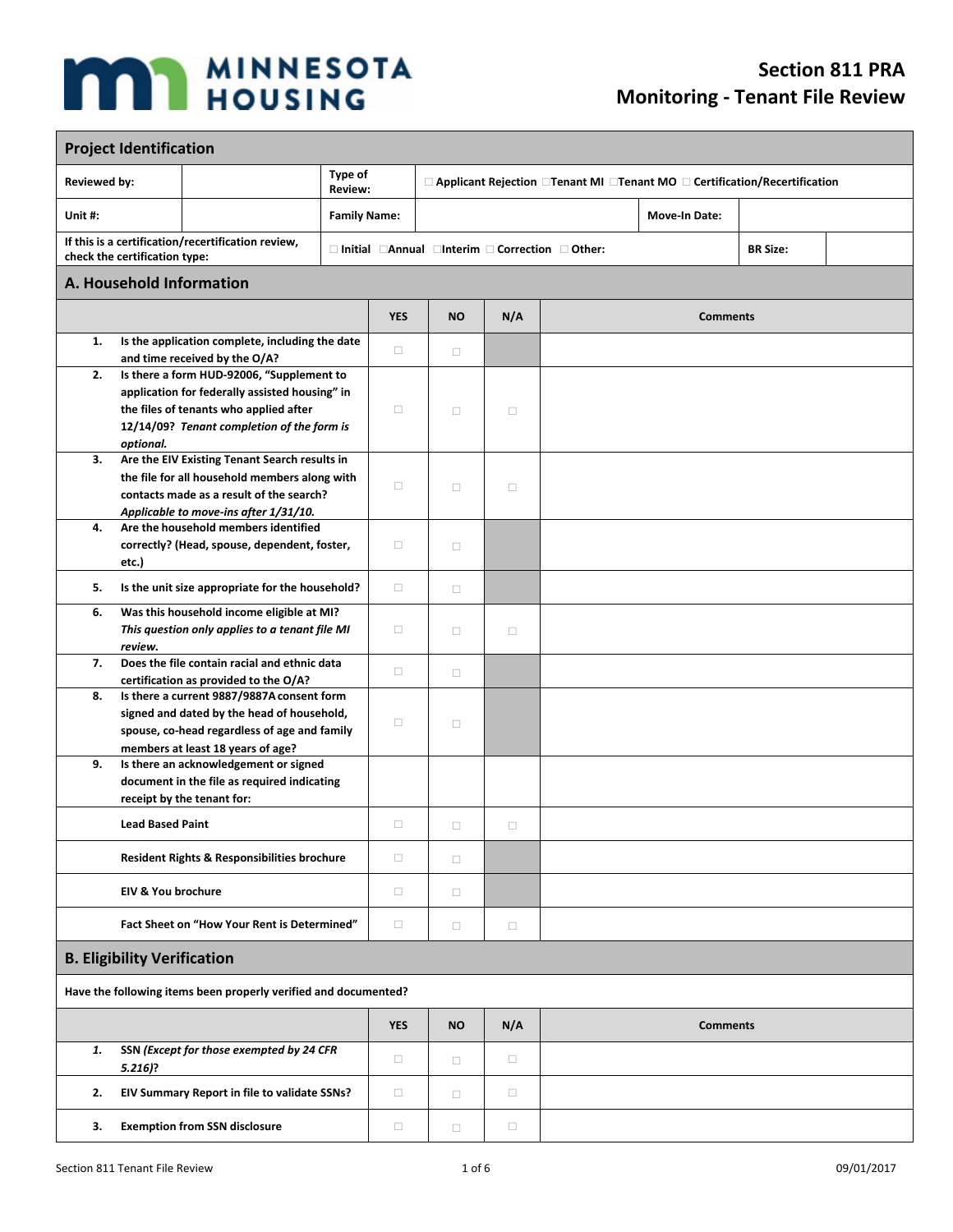## **MAN MINNESOTA**

## **Section 811 PRA Monitoring - Tenant File Review**

 $\blacksquare$ 

| <b>Project Identification</b>                                                       |                                    |                                                                                       |                           |            |           |                                                                             |                      |                                                                               |  |  |
|-------------------------------------------------------------------------------------|------------------------------------|---------------------------------------------------------------------------------------|---------------------------|------------|-----------|-----------------------------------------------------------------------------|----------------------|-------------------------------------------------------------------------------|--|--|
| <b>Reviewed by:</b>                                                                 |                                    |                                                                                       | Type of<br><b>Review:</b> |            |           |                                                                             |                      | □ Applicant Rejection □ Tenant MI □ Tenant MO □ Certification/Recertification |  |  |
| Unit#:                                                                              |                                    | <b>Family Name:</b>                                                                   |                           |            |           |                                                                             | <b>Move-In Date:</b> |                                                                               |  |  |
| If this is a certification/recertification review,<br>check the certification type: |                                    |                                                                                       |                           |            |           | $\Box$ Initial $\Box$ Annual $\Box$ Interim $\Box$ Correction $\Box$ Other: |                      | <b>BR Size:</b>                                                               |  |  |
|                                                                                     | A. Household Information           |                                                                                       |                           |            |           |                                                                             |                      |                                                                               |  |  |
|                                                                                     |                                    |                                                                                       |                           | <b>YES</b> | <b>NO</b> | N/A                                                                         |                      | <b>Comments</b>                                                               |  |  |
| 1.                                                                                  |                                    | Is the application complete, including the date<br>and time received by the O/A?      |                           | $\Box$     | $\Box$    |                                                                             |                      |                                                                               |  |  |
| 2.                                                                                  |                                    | Is there a form HUD-92006, "Supplement to                                             |                           |            |           |                                                                             |                      |                                                                               |  |  |
|                                                                                     |                                    | application for federally assisted housing" in                                        |                           |            |           |                                                                             |                      |                                                                               |  |  |
|                                                                                     |                                    | the files of tenants who applied after                                                |                           | $\Box$     | $\Box$    | $\Box$                                                                      |                      |                                                                               |  |  |
|                                                                                     | optional.                          | 12/14/09? Tenant completion of the form is                                            |                           |            |           |                                                                             |                      |                                                                               |  |  |
| 3.                                                                                  |                                    | Are the EIV Existing Tenant Search results in                                         |                           |            |           |                                                                             |                      |                                                                               |  |  |
|                                                                                     |                                    | the file for all household members along with                                         |                           |            |           |                                                                             |                      |                                                                               |  |  |
|                                                                                     |                                    | contacts made as a result of the search?                                              |                           | o          | $\Box$    | $\Box$                                                                      |                      |                                                                               |  |  |
|                                                                                     |                                    | Applicable to move-ins after 1/31/10.                                                 |                           |            |           |                                                                             |                      |                                                                               |  |  |
| 4.                                                                                  |                                    | Are the household members identified                                                  |                           |            |           |                                                                             |                      |                                                                               |  |  |
|                                                                                     | etc.)                              | correctly? (Head, spouse, dependent, foster,                                          |                           | o          | $\Box$    |                                                                             |                      |                                                                               |  |  |
|                                                                                     |                                    |                                                                                       |                           |            |           |                                                                             |                      |                                                                               |  |  |
| 5.                                                                                  |                                    | Is the unit size appropriate for the household?                                       |                           | $\Box$     | $\Box$    |                                                                             |                      |                                                                               |  |  |
| 6.                                                                                  |                                    | Was this household income eligible at MI?                                             |                           |            |           |                                                                             |                      |                                                                               |  |  |
|                                                                                     |                                    | This question only applies to a tenant file MI                                        |                           | o          | $\Box$    | $\Box$                                                                      |                      |                                                                               |  |  |
|                                                                                     | review.                            |                                                                                       |                           |            |           |                                                                             |                      |                                                                               |  |  |
| 7.                                                                                  |                                    | Does the file contain racial and ethnic data<br>certification as provided to the O/A? |                           | $\Box$     | $\Box$    |                                                                             |                      |                                                                               |  |  |
| 8.                                                                                  |                                    | Is there a current 9887/9887A consent form                                            |                           |            |           |                                                                             |                      |                                                                               |  |  |
|                                                                                     |                                    | signed and dated by the head of household,                                            |                           |            |           |                                                                             |                      |                                                                               |  |  |
|                                                                                     |                                    | spouse, co-head regardless of age and family                                          |                           | □          | $\Box$    |                                                                             |                      |                                                                               |  |  |
|                                                                                     |                                    | members at least 18 years of age?                                                     |                           |            |           |                                                                             |                      |                                                                               |  |  |
| 9.                                                                                  |                                    | Is there an acknowledgement or signed                                                 |                           |            |           |                                                                             |                      |                                                                               |  |  |
|                                                                                     |                                    | document in the file as required indicating<br>receipt by the tenant for:             |                           |            |           |                                                                             |                      |                                                                               |  |  |
|                                                                                     |                                    |                                                                                       |                           |            |           |                                                                             |                      |                                                                               |  |  |
|                                                                                     | <b>Lead Based Paint</b>            |                                                                                       |                           | $\Box$     | □         | □                                                                           |                      |                                                                               |  |  |
|                                                                                     |                                    | Resident Rights & Responsibilities brochure                                           |                           | $\Box$     | $\Box$    |                                                                             |                      |                                                                               |  |  |
|                                                                                     | <b>EIV &amp; You brochure</b>      |                                                                                       |                           | П          | $\Box$    |                                                                             |                      |                                                                               |  |  |
|                                                                                     |                                    | Fact Sheet on "How Your Rent is Determined"                                           |                           | $\Box$     | $\Box$    | $\Box$                                                                      |                      |                                                                               |  |  |
|                                                                                     | <b>B. Eligibility Verification</b> |                                                                                       |                           |            |           |                                                                             |                      |                                                                               |  |  |
|                                                                                     |                                    | Have the following items been properly verified and documented?                       |                           |            |           |                                                                             |                      |                                                                               |  |  |
|                                                                                     |                                    |                                                                                       |                           | <b>YES</b> | <b>NO</b> | N/A                                                                         |                      | <b>Comments</b>                                                               |  |  |
| 1.                                                                                  | $5.216$ ?                          | SSN (Except for those exempted by 24 CFR                                              |                           | $\Box$     | $\Box$    | $\Box$                                                                      |                      |                                                                               |  |  |
| 2.                                                                                  |                                    | EIV Summary Report in file to validate SSNs?                                          |                           | П          | $\Box$    | $\Box$                                                                      |                      |                                                                               |  |  |
| З.                                                                                  |                                    | <b>Exemption from SSN disclosure</b>                                                  |                           | П          | $\Box$    | $\Box$                                                                      |                      |                                                                               |  |  |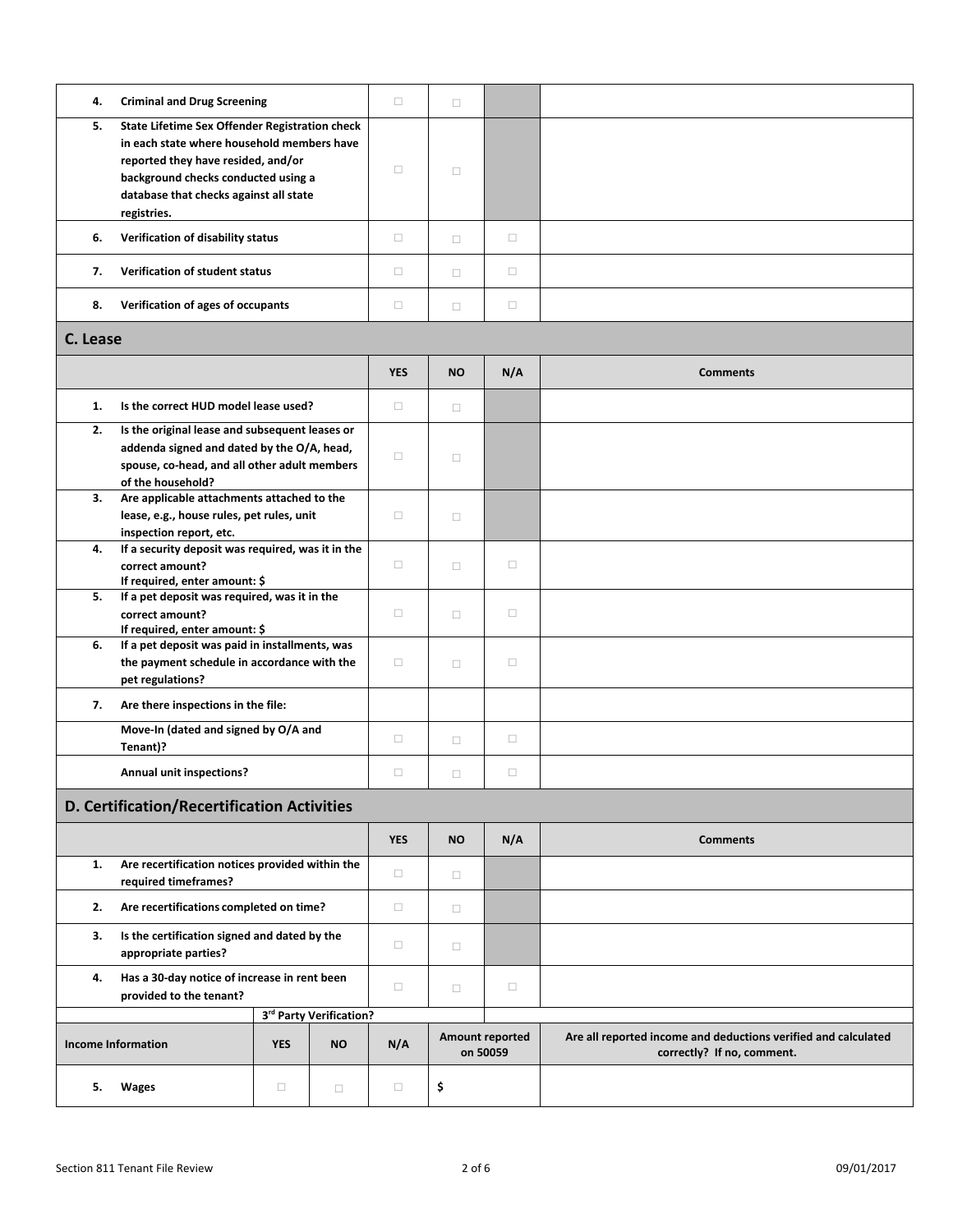| 4.       | <b>Criminal and Drug Screening</b>                                                                                                                                                                                                 |            |                         | $\Box$     | $\Box$    |                                    |                                                                                              |  |  |
|----------|------------------------------------------------------------------------------------------------------------------------------------------------------------------------------------------------------------------------------------|------------|-------------------------|------------|-----------|------------------------------------|----------------------------------------------------------------------------------------------|--|--|
| 5.       | State Lifetime Sex Offender Registration check<br>in each state where household members have<br>reported they have resided, and/or<br>background checks conducted using a<br>database that checks against all state<br>registries. |            |                         | $\Box$     | $\Box$    |                                    |                                                                                              |  |  |
| 6.       | Verification of disability status                                                                                                                                                                                                  |            |                         | $\Box$     | $\Box$    | $\Box$                             |                                                                                              |  |  |
| 7.       | Verification of student status                                                                                                                                                                                                     |            |                         | $\Box$     | $\Box$    | $\Box$                             |                                                                                              |  |  |
| 8.       | Verification of ages of occupants                                                                                                                                                                                                  |            |                         | $\Box$     | $\Box$    | $\Box$                             |                                                                                              |  |  |
| C. Lease |                                                                                                                                                                                                                                    |            |                         |            |           |                                    |                                                                                              |  |  |
|          |                                                                                                                                                                                                                                    |            |                         | <b>YES</b> | <b>NO</b> | N/A                                | <b>Comments</b>                                                                              |  |  |
| 1.       | Is the correct HUD model lease used?                                                                                                                                                                                               |            |                         | $\Box$     | $\Box$    |                                    |                                                                                              |  |  |
| 2.       | Is the original lease and subsequent leases or<br>addenda signed and dated by the O/A, head,<br>spouse, co-head, and all other adult members<br>of the household?                                                                  |            |                         | □          | $\Box$    |                                    |                                                                                              |  |  |
| 3.       | Are applicable attachments attached to the<br>lease, e.g., house rules, pet rules, unit<br>inspection report, etc.                                                                                                                 |            |                         | $\Box$     | $\Box$    |                                    |                                                                                              |  |  |
| 4.       | If a security deposit was required, was it in the<br>correct amount?<br>If required, enter amount: \$                                                                                                                              |            |                         | $\Box$     | $\Box$    | $\Box$                             |                                                                                              |  |  |
| 5.       | If a pet deposit was required, was it in the<br>correct amount?<br>If required, enter amount: \$                                                                                                                                   |            |                         | $\Box$     | $\Box$    | $\Box$                             |                                                                                              |  |  |
| 6.       | If a pet deposit was paid in installments, was<br>the payment schedule in accordance with the<br>pet regulations?                                                                                                                  |            |                         | $\Box$     | $\Box$    | $\Box$                             |                                                                                              |  |  |
| 7.       | Are there inspections in the file:                                                                                                                                                                                                 |            |                         |            |           |                                    |                                                                                              |  |  |
|          | Move-In (dated and signed by O/A and<br>Tenant)?                                                                                                                                                                                   |            |                         | $\Box$     | $\Box$    | $\Box$                             |                                                                                              |  |  |
|          | <b>Annual unit inspections?</b>                                                                                                                                                                                                    |            |                         | $\Box$     | $\Box$    | $\Box$                             |                                                                                              |  |  |
|          | D. Certification/Recertification Activities                                                                                                                                                                                        |            |                         |            |           |                                    |                                                                                              |  |  |
|          |                                                                                                                                                                                                                                    |            |                         | <b>YES</b> | <b>NO</b> | N/A                                | <b>Comments</b>                                                                              |  |  |
| 1.       | Are recertification notices provided within the<br>required timeframes?                                                                                                                                                            |            |                         | $\Box$     | $\Box$    |                                    |                                                                                              |  |  |
| 2.       | Are recertifications completed on time?                                                                                                                                                                                            |            |                         | $\Box$     | $\Box$    |                                    |                                                                                              |  |  |
| 3.       | Is the certification signed and dated by the<br>appropriate parties?                                                                                                                                                               |            |                         | $\Box$     | $\Box$    |                                    |                                                                                              |  |  |
| 4.       | Has a 30-day notice of increase in rent been<br>provided to the tenant?                                                                                                                                                            |            |                         | $\Box$     | $\Box$    | $\Box$                             |                                                                                              |  |  |
|          |                                                                                                                                                                                                                                    |            | 3rd Party Verification? |            |           |                                    |                                                                                              |  |  |
|          | <b>Income Information</b>                                                                                                                                                                                                          | <b>YES</b> | <b>NO</b>               | N/A        |           | <b>Amount reported</b><br>on 50059 | Are all reported income and deductions verified and calculated<br>correctly? If no, comment. |  |  |
| 5.       | Wages                                                                                                                                                                                                                              | $\Box$     | $\Box$                  | $\Box$     | \$        |                                    |                                                                                              |  |  |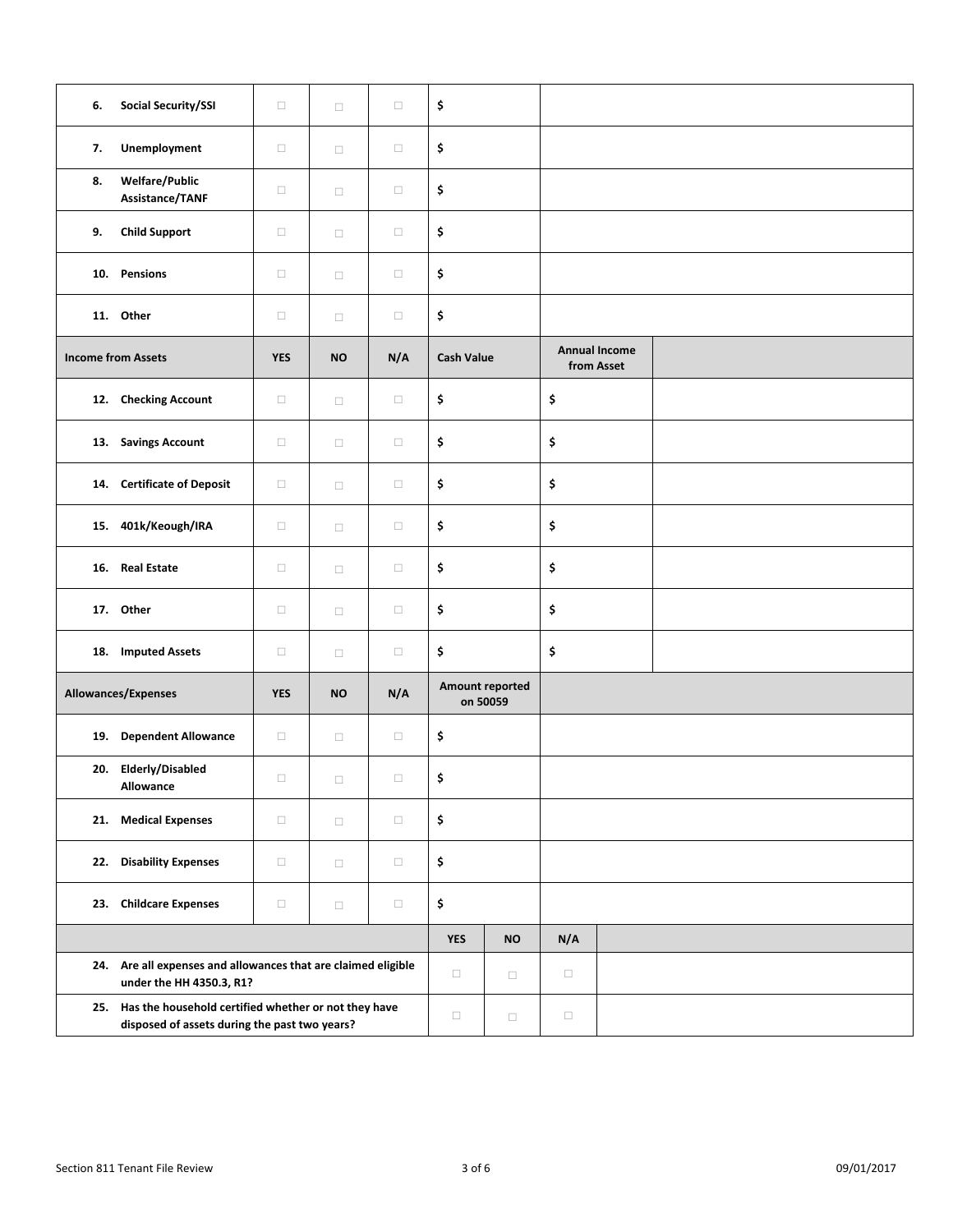| 6. | <b>Social Security/SSI</b>                                                                                | $\Box$     | $\Box$    | $\Box$ | \$                          |               |        |                                    |  |  |
|----|-----------------------------------------------------------------------------------------------------------|------------|-----------|--------|-----------------------------|---------------|--------|------------------------------------|--|--|
| 7. | Unemployment                                                                                              | $\Box$     | $\Box$    | $\Box$ | \$                          |               |        |                                    |  |  |
| 8. | <b>Welfare/Public</b><br>Assistance/TANF                                                                  | $\Box$     | $\Box$    | $\Box$ | \$                          |               |        |                                    |  |  |
| 9. | <b>Child Support</b>                                                                                      | $\Box$     | $\Box$    | $\Box$ | \$                          |               |        |                                    |  |  |
|    | 10. Pensions                                                                                              | $\Box$     | $\Box$    | $\Box$ | \$                          |               |        |                                    |  |  |
|    | 11. Other                                                                                                 | $\Box$     | $\Box$    | $\Box$ | \$                          |               |        |                                    |  |  |
|    | <b>Income from Assets</b>                                                                                 |            | <b>NO</b> | N/A    | <b>Cash Value</b>           |               |        | <b>Annual Income</b><br>from Asset |  |  |
|    | 12. Checking Account                                                                                      | $\Box$     | $\Box$    | $\Box$ | \$                          |               | \$     |                                    |  |  |
|    | 13. Savings Account                                                                                       | $\Box$     | $\Box$    | $\Box$ | \$                          |               | \$     |                                    |  |  |
|    | 14. Certificate of Deposit                                                                                | $\Box$     | $\Box$    | $\Box$ | \$                          |               | \$     |                                    |  |  |
|    | 15. 401k/Keough/IRA                                                                                       | $\Box$     | $\Box$    | $\Box$ | \$                          |               | \$     |                                    |  |  |
|    | 16. Real Estate                                                                                           | $\Box$     | $\Box$    | $\Box$ | \$                          |               | \$     |                                    |  |  |
|    | 17. Other                                                                                                 | $\Box$     | $\Box$    | $\Box$ | \$                          |               | \$     |                                    |  |  |
|    | 18. Imputed Assets                                                                                        | $\Box$     | $\Box$    | $\Box$ | \$                          |               | \$     |                                    |  |  |
|    | Allowances/Expenses                                                                                       | <b>YES</b> | <b>NO</b> | N/A    | Amount reported<br>on 50059 |               |        |                                    |  |  |
|    | 19. Dependent Allowance                                                                                   | $\Box$     | $\Box$    | $\Box$ | \$                          |               |        |                                    |  |  |
|    | 20. Elderly/Disabled<br>Allowance                                                                         | $\Box$     | $\Box$    | $\Box$ | \$                          |               |        |                                    |  |  |
|    | 21. Medical Expenses                                                                                      | $\Box$     | $\Box$    | $\Box$ | \$                          |               |        |                                    |  |  |
|    | 22. Disability Expenses                                                                                   | $\Box$     | $\Box$    | $\Box$ | \$                          |               |        |                                    |  |  |
|    | 23. Childcare Expenses                                                                                    | $\Box$     | $\Box$    | $\Box$ | \$                          |               |        |                                    |  |  |
|    |                                                                                                           |            |           |        | <b>YES</b>                  | $\mathsf{NO}$ | N/A    |                                    |  |  |
|    | 24. Are all expenses and allowances that are claimed eligible<br>under the HH 4350.3, R1?                 |            |           |        | $\Box$                      | $\Box$        | $\Box$ |                                    |  |  |
|    | 25. Has the household certified whether or not they have<br>disposed of assets during the past two years? |            |           |        | $\Box$                      | $\Box$        | $\Box$ |                                    |  |  |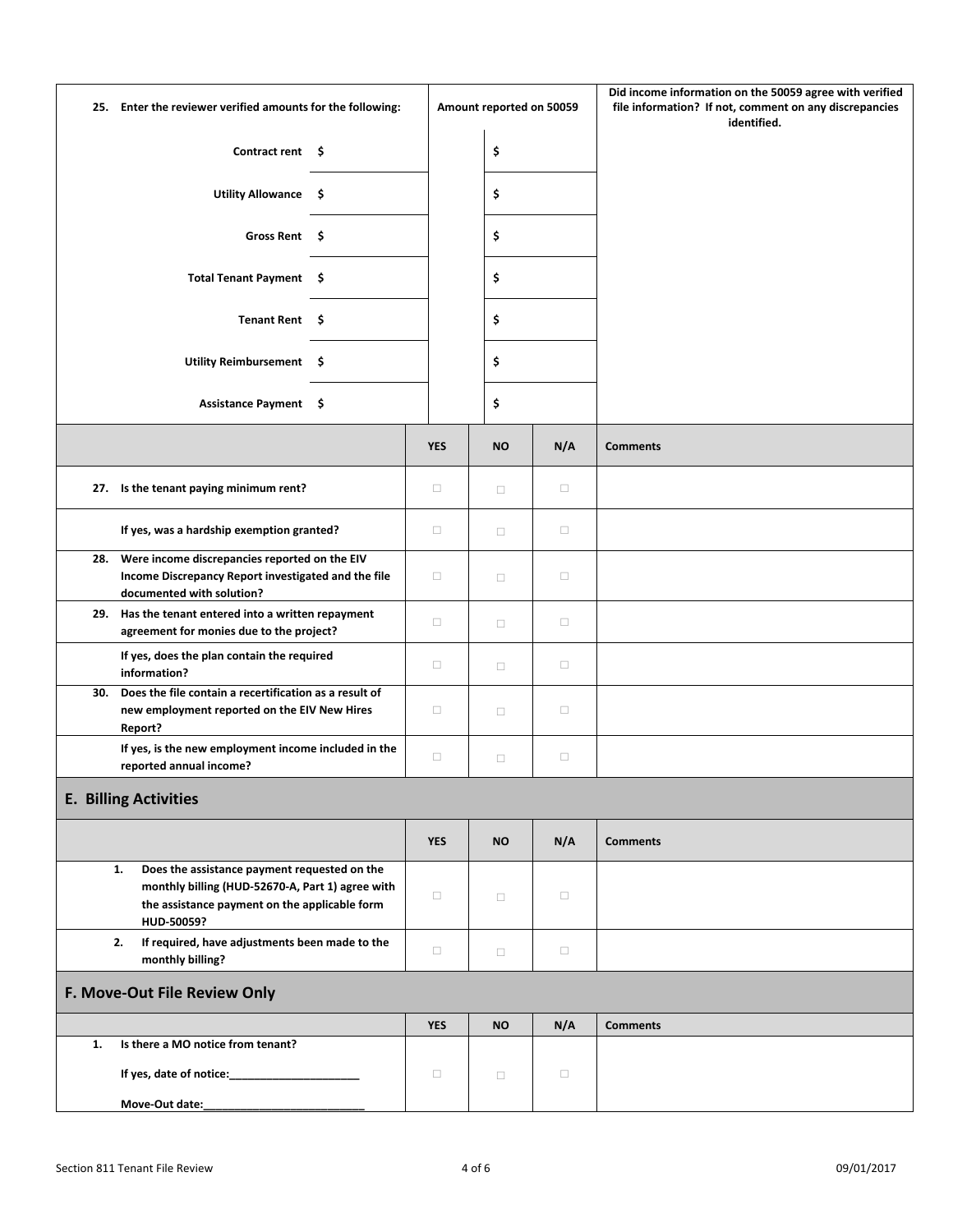|                                   | 25. Enter the reviewer verified amounts for the following:                                                                                                            |    |            | Amount reported on 50059 |        | Did income information on the 50059 agree with verified<br>file information? If not, comment on any discrepancies<br>identified. |
|-----------------------------------|-----------------------------------------------------------------------------------------------------------------------------------------------------------------------|----|------------|--------------------------|--------|----------------------------------------------------------------------------------------------------------------------------------|
|                                   | <b>Contract rent</b>                                                                                                                                                  | -S |            | \$                       |        |                                                                                                                                  |
|                                   | Utility Allowance \$                                                                                                                                                  |    |            | \$                       |        |                                                                                                                                  |
|                                   | <b>Gross Rent</b><br>-\$                                                                                                                                              |    |            | \$                       |        |                                                                                                                                  |
| <b>Total Tenant Payment</b><br>-Ş |                                                                                                                                                                       |    |            | \$                       |        |                                                                                                                                  |
|                                   | <b>Tenant Rent</b><br>-\$                                                                                                                                             |    |            | \$                       |        |                                                                                                                                  |
|                                   | <b>Utility Reimbursement</b><br>-\$                                                                                                                                   |    |            | \$                       |        |                                                                                                                                  |
|                                   | Assistance Payment \$                                                                                                                                                 |    |            | \$                       |        |                                                                                                                                  |
|                                   |                                                                                                                                                                       |    | <b>YES</b> | <b>NO</b>                | N/A    | <b>Comments</b>                                                                                                                  |
|                                   | 27. Is the tenant paying minimum rent?                                                                                                                                |    | $\Box$     | $\Box$                   | $\Box$ |                                                                                                                                  |
|                                   | If yes, was a hardship exemption granted?                                                                                                                             |    |            | $\Box$                   | $\Box$ |                                                                                                                                  |
|                                   | Were income discrepancies reported on the EIV<br>28.<br>Income Discrepancy Report investigated and the file<br>documented with solution?                              |    |            | $\Box$                   | $\Box$ |                                                                                                                                  |
|                                   | 29. Has the tenant entered into a written repayment<br>agreement for monies due to the project?                                                                       |    | $\Box$     | $\Box$                   | $\Box$ |                                                                                                                                  |
|                                   | If yes, does the plan contain the required<br>information?                                                                                                            |    | $\Box$     | $\Box$                   | $\Box$ |                                                                                                                                  |
| 30.                               | Does the file contain a recertification as a result of<br>new employment reported on the EIV New Hires<br>Report?                                                     |    | $\Box$     | $\Box$                   | $\Box$ |                                                                                                                                  |
|                                   | If yes, is the new employment income included in the<br>reported annual income?                                                                                       |    | $\Box$     | $\Box$                   | $\Box$ |                                                                                                                                  |
|                                   | <b>E. Billing Activities</b>                                                                                                                                          |    |            |                          |        |                                                                                                                                  |
|                                   |                                                                                                                                                                       |    | <b>YES</b> | <b>NO</b>                | N/A    | <b>Comments</b>                                                                                                                  |
|                                   | Does the assistance payment requested on the<br>1.<br>monthly billing (HUD-52670-A, Part 1) agree with<br>the assistance payment on the applicable form<br>HUD-50059? |    | $\Box$     | $\Box$                   | $\Box$ |                                                                                                                                  |
|                                   | If required, have adjustments been made to the<br>2.<br>monthly billing?                                                                                              |    |            | $\Box$                   | $\Box$ |                                                                                                                                  |
|                                   | F. Move-Out File Review Only                                                                                                                                          |    |            |                          |        |                                                                                                                                  |
|                                   |                                                                                                                                                                       |    | <b>YES</b> | <b>NO</b>                | N/A    | <b>Comments</b>                                                                                                                  |
| 1.                                | Is there a MO notice from tenant?                                                                                                                                     |    |            |                          |        |                                                                                                                                  |
|                                   |                                                                                                                                                                       |    | $\Box$     | $\Box$                   | $\Box$ |                                                                                                                                  |
|                                   | Move-Out date:                                                                                                                                                        |    |            |                          |        |                                                                                                                                  |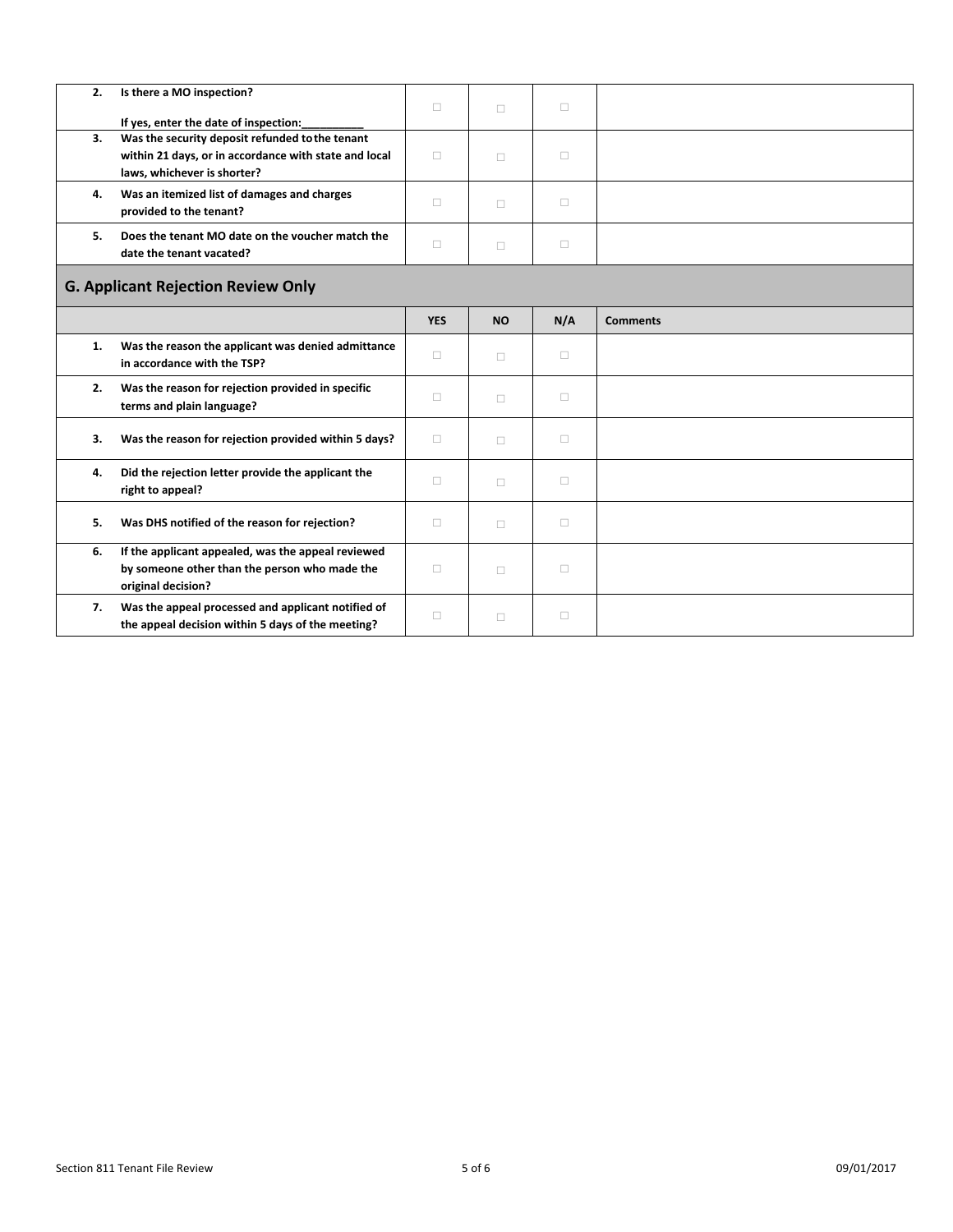| 2.                                        | Is there a MO inspection?                                                                                                               |            |           |        |                 |  |
|-------------------------------------------|-----------------------------------------------------------------------------------------------------------------------------------------|------------|-----------|--------|-----------------|--|
|                                           | If yes, enter the date of inspection:                                                                                                   | $\Box$     | $\Box$    | $\Box$ |                 |  |
| 3.                                        | Was the security deposit refunded to the tenant<br>within 21 days, or in accordance with state and local<br>laws, whichever is shorter? | $\Box$     | П         | $\Box$ |                 |  |
| 4.                                        | Was an itemized list of damages and charges<br>provided to the tenant?                                                                  | $\Box$     | $\Box$    | $\Box$ |                 |  |
| 5.                                        | Does the tenant MO date on the voucher match the<br>date the tenant vacated?                                                            | $\Box$     | $\Box$    | $\Box$ |                 |  |
| <b>G. Applicant Rejection Review Only</b> |                                                                                                                                         |            |           |        |                 |  |
|                                           |                                                                                                                                         | <b>YES</b> | <b>NO</b> | N/A    | <b>Comments</b> |  |
| 1.                                        | Was the reason the applicant was denied admittance<br>in accordance with the TSP?                                                       | п          | П         | $\Box$ |                 |  |
| 2.                                        | Was the reason for rejection provided in specific<br>terms and plain language?                                                          | $\Box$     | $\Box$    | $\Box$ |                 |  |
| 3.                                        | Was the reason for rejection provided within 5 days?                                                                                    | $\Box$     | п         | $\Box$ |                 |  |
| 4.                                        | Did the rejection letter provide the applicant the<br>right to appeal?                                                                  | $\Box$     | п         | $\Box$ |                 |  |
| 5.                                        | Was DHS notified of the reason for rejection?                                                                                           | п          | $\Box$    | $\Box$ |                 |  |
| 6.                                        | If the applicant appealed, was the appeal reviewed<br>by someone other than the person who made the<br>original decision?               | п          | $\Box$    | $\Box$ |                 |  |
| 7.                                        | Was the appeal processed and applicant notified of<br>the appeal decision within 5 days of the meeting?                                 | $\Box$     | □         | $\Box$ |                 |  |